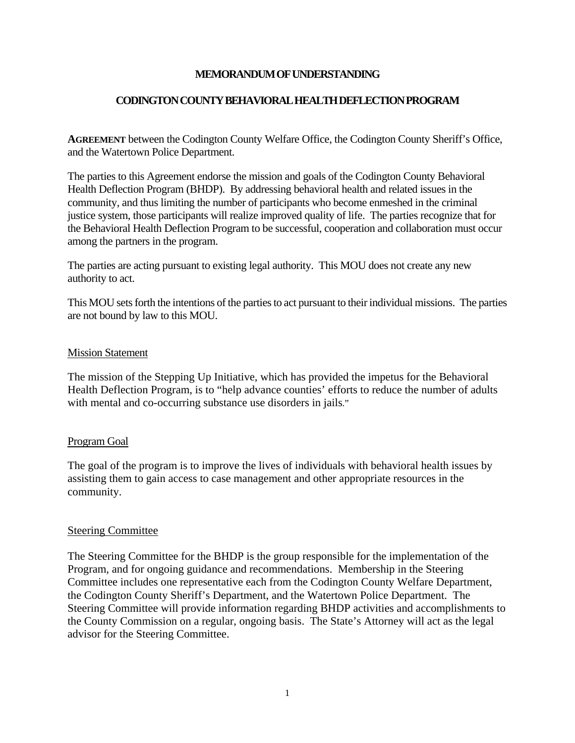## **MEMORANDUM OF UNDERSTANDING**

#### **CODINGTON COUNTY BEHAVIORAL HEALTH DEFLECTION PROGRAM**

**AGREEMENT** between the Codington County Welfare Office, the Codington County Sheriff's Office, and the Watertown Police Department.

The parties to this Agreement endorse the mission and goals of the Codington County Behavioral Health Deflection Program (BHDP). By addressing behavioral health and related issues in the community, and thus limiting the number of participants who become enmeshed in the criminal justice system, those participants will realize improved quality of life. The parties recognize that for the Behavioral Health Deflection Program to be successful, cooperation and collaboration must occur among the partners in the program.

The parties are acting pursuant to existing legal authority. This MOU does not create any new authority to act.

This MOU sets forth the intentions of the parties to act pursuant to their individual missions. The parties are not bound by law to this MOU.

#### Mission Statement

The mission of the Stepping Up Initiative, which has provided the impetus for the Behavioral Health Deflection Program, is to "help advance counties' efforts to reduce the number of adults with mental and co-occurring substance use disorders in jails."

#### Program Goal

The goal of the program is to improve the lives of individuals with behavioral health issues by assisting them to gain access to case management and other appropriate resources in the community.

#### Steering Committee

The Steering Committee for the BHDP is the group responsible for the implementation of the Program, and for ongoing guidance and recommendations. Membership in the Steering Committee includes one representative each from the Codington County Welfare Department, the Codington County Sheriff's Department, and the Watertown Police Department. The Steering Committee will provide information regarding BHDP activities and accomplishments to the County Commission on a regular, ongoing basis. The State's Attorney will act as the legal advisor for the Steering Committee.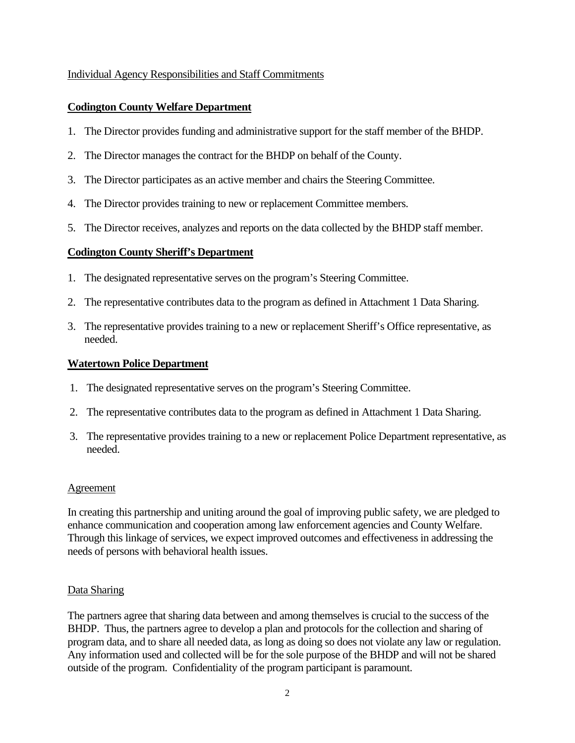# Individual Agency Responsibilities and Staff Commitments

# **Codington County Welfare Department**

- 1. The Director provides funding and administrative support for the staff member of the BHDP.
- 2. The Director manages the contract for the BHDP on behalf of the County.
- 3. The Director participates as an active member and chairs the Steering Committee.
- 4. The Director provides training to new or replacement Committee members.
- 5. The Director receives, analyzes and reports on the data collected by the BHDP staff member.

## **Codington County Sheriff's Department**

- 1. The designated representative serves on the program's Steering Committee.
- 2. The representative contributes data to the program as defined in Attachment 1 Data Sharing.
- 3. The representative provides training to a new or replacement Sheriff's Office representative, as needed.

## **Watertown Police Department**

- 1. The designated representative serves on the program's Steering Committee.
- 2. The representative contributes data to the program as defined in Attachment 1 Data Sharing.
- 3. The representative provides training to a new or replacement Police Department representative, as needed.

## **Agreement**

In creating this partnership and uniting around the goal of improving public safety, we are pledged to enhance communication and cooperation among law enforcement agencies and County Welfare. Through this linkage of services, we expect improved outcomes and effectiveness in addressing the needs of persons with behavioral health issues.

## Data Sharing

The partners agree that sharing data between and among themselves is crucial to the success of the BHDP. Thus, the partners agree to develop a plan and protocols for the collection and sharing of program data, and to share all needed data, as long as doing so does not violate any law or regulation. Any information used and collected will be for the sole purpose of the BHDP and will not be shared outside of the program. Confidentiality of the program participant is paramount.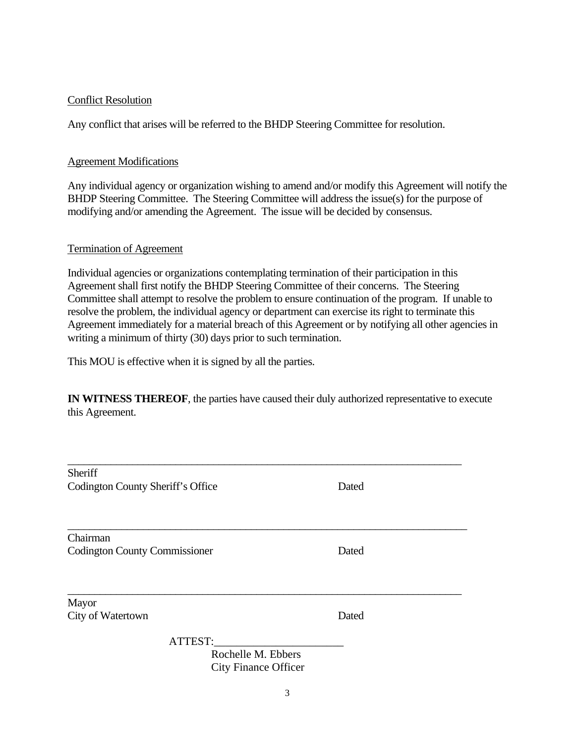## Conflict Resolution

Any conflict that arises will be referred to the BHDP Steering Committee for resolution.

#### Agreement Modifications

Any individual agency or organization wishing to amend and/or modify this Agreement will notify the BHDP Steering Committee. The Steering Committee will address the issue(s) for the purpose of modifying and/or amending the Agreement. The issue will be decided by consensus.

#### Termination of Agreement

Individual agencies or organizations contemplating termination of their participation in this Agreement shall first notify the BHDP Steering Committee of their concerns. The Steering Committee shall attempt to resolve the problem to ensure continuation of the program. If unable to resolve the problem, the individual agency or department can exercise its right to terminate this Agreement immediately for a material breach of this Agreement or by notifying all other agencies in writing a minimum of thirty (30) days prior to such termination.

This MOU is effective when it is signed by all the parties.

**IN WITNESS THEREOF**, the parties have caused their duly authorized representative to execute this Agreement.

| Sheriff<br>Codington County Sheriff's Office                 | Dated |
|--------------------------------------------------------------|-------|
| Chairman<br><b>Codington County Commissioner</b>             | Dated |
| Mayor<br>City of Watertown                                   | Dated |
| ATTEST:<br>Rochelle M. Ebbers<br><b>City Finance Officer</b> |       |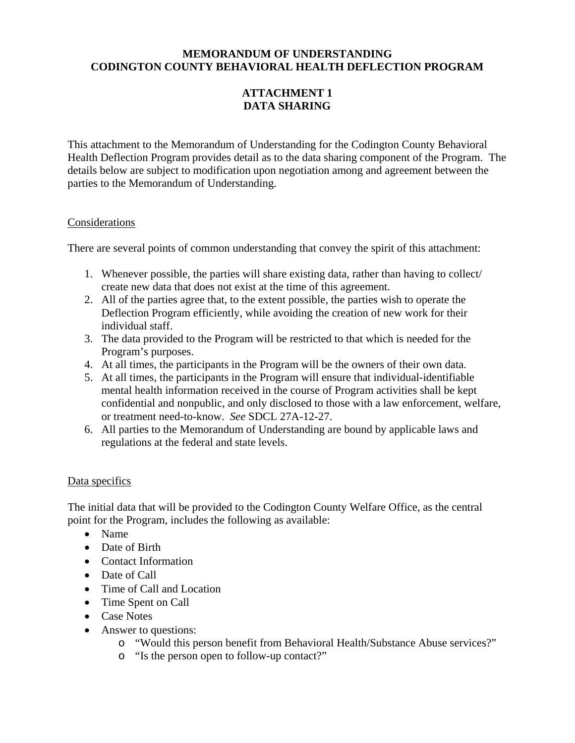# **MEMORANDUM OF UNDERSTANDING CODINGTON COUNTY BEHAVIORAL HEALTH DEFLECTION PROGRAM**

# **ATTACHMENT 1 DATA SHARING**

This attachment to the Memorandum of Understanding for the Codington County Behavioral Health Deflection Program provides detail as to the data sharing component of the Program. The details below are subject to modification upon negotiation among and agreement between the parties to the Memorandum of Understanding.

## Considerations

There are several points of common understanding that convey the spirit of this attachment:

- 1. Whenever possible, the parties will share existing data, rather than having to collect/ create new data that does not exist at the time of this agreement.
- 2. All of the parties agree that, to the extent possible, the parties wish to operate the Deflection Program efficiently, while avoiding the creation of new work for their individual staff.
- 3. The data provided to the Program will be restricted to that which is needed for the Program's purposes.
- 4. At all times, the participants in the Program will be the owners of their own data.
- 5. At all times, the participants in the Program will ensure that individual-identifiable mental health information received in the course of Program activities shall be kept confidential and nonpublic, and only disclosed to those with a law enforcement, welfare, or treatment need-to-know. *See* SDCL 27A-12-27.
- 6. All parties to the Memorandum of Understanding are bound by applicable laws and regulations at the federal and state levels.

# Data specifics

The initial data that will be provided to the Codington County Welfare Office, as the central point for the Program, includes the following as available:

- Name
- Date of Birth
- Contact Information
- Date of Call
- Time of Call and Location
- Time Spent on Call
- Case Notes
- Answer to questions:
	- o "Would this person benefit from Behavioral Health/Substance Abuse services?"
	- o "Is the person open to follow-up contact?"